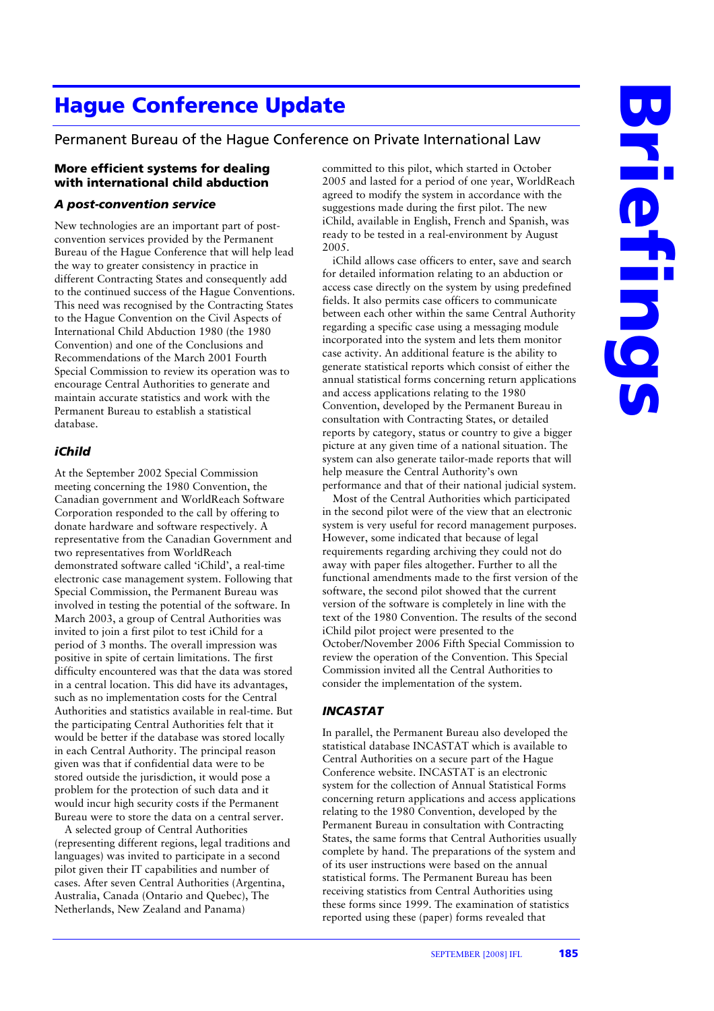# **Hague Conference Update**

# Permanent Bureau of the Hague Conference on Private International Law

## **More efficient systems for dealing with international child abduction**

#### *A post-convention service*

New technologies are an important part of postconvention services provided by the Permanent Bureau of the Hague Conference that will help lead the way to greater consistency in practice in different Contracting States and consequently add to the continued success of the Hague Conventions. This need was recognised by the Contracting States to the Hague Convention on the Civil Aspects of International Child Abduction 1980 (the 1980 Convention) and one of the Conclusions and Recommendations of the March 2001 Fourth Special Commission to review its operation was to encourage Central Authorities to generate and maintain accurate statistics and work with the Permanent Bureau to establish a statistical database.

## *iChild*

At the September 2002 Special Commission meeting concerning the 1980 Convention, the Canadian government and WorldReach Software Corporation responded to the call by offering to donate hardware and software respectively. A representative from the Canadian Government and two representatives from WorldReach demonstrated software called 'iChild', a real-time electronic case management system. Following that Special Commission, the Permanent Bureau was involved in testing the potential of the software. In March 2003, a group of Central Authorities was invited to join a first pilot to test iChild for a period of 3 months. The overall impression was positive in spite of certain limitations. The first difficulty encountered was that the data was stored in a central location. This did have its advantages, such as no implementation costs for the Central Authorities and statistics available in real-time. But the participating Central Authorities felt that it would be better if the database was stored locally in each Central Authority. The principal reason given was that if confidential data were to be stored outside the jurisdiction, it would pose a problem for the protection of such data and it would incur high security costs if the Permanent Bureau were to store the data on a central server.

 A selected group of Central Authorities (representing different regions, legal traditions and languages) was invited to participate in a second pilot given their IT capabilities and number of cases. After seven Central Authorities (Argentina, Australia, Canada (Ontario and Quebec), The Netherlands, New Zealand and Panama)

committed to this pilot, which started in October 2005 and lasted for a period of one year, WorldReach agreed to modify the system in accordance with the suggestions made during the first pilot. The new iChild, available in English, French and Spanish, was ready to be tested in a real-environment by August 2005.

 iChild allows case officers to enter, save and search for detailed information relating to an abduction or access case directly on the system by using predefined fields. It also permits case officers to communicate between each other within the same Central Authority regarding a specific case using a messaging module incorporated into the system and lets them monitor case activity. An additional feature is the ability to generate statistical reports which consist of either the annual statistical forms concerning return applications and access applications relating to the 1980 Convention, developed by the Permanent Bureau in consultation with Contracting States, or detailed reports by category, status or country to give a bigger picture at any given time of a national situation. The system can also generate tailor-made reports that will help measure the Central Authority's own performance and that of their national judicial system.

 Most of the Central Authorities which participated in the second pilot were of the view that an electronic system is very useful for record management purposes. However, some indicated that because of legal requirements regarding archiving they could not do away with paper files altogether. Further to all the functional amendments made to the first version of the software, the second pilot showed that the current version of the software is completely in line with the text of the 1980 Convention. The results of the second iChild pilot project were presented to the October/November 2006 Fifth Special Commission to review the operation of the Convention. This Special Commission invited all the Central Authorities to consider the implementation of the system.

#### *INCASTAT*

In parallel, the Permanent Bureau also developed the statistical database INCASTAT which is available to Central Authorities on a secure part of the Hague Conference website. INCASTAT is an electronic system for the collection of Annual Statistical Forms concerning return applications and access applications relating to the 1980 Convention, developed by the Permanent Bureau in consultation with Contracting States, the same forms that Central Authorities usually complete by hand. The preparations of the system and of its user instructions were based on the annual statistical forms. The Permanent Bureau has been receiving statistics from Central Authorities using these forms since 1999. The examination of statistics reported using these (paper) forms revealed that